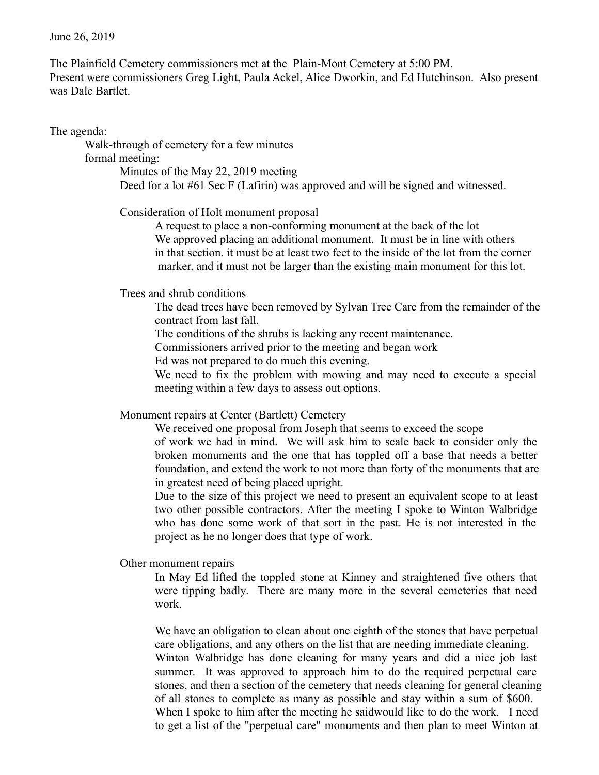The Plainfield Cemetery commissioners met at the Plain-Mont Cemetery at 5:00 PM. Present were commissioners Greg Light, Paula Ackel, Alice Dworkin, and Ed Hutchinson. Also present was Dale Bartlet.

The agenda:

Walk-through of cemetery for a few minutes

formal meeting:

Minutes of the May 22, 2019 meeting Deed for a lot #61 Sec F (Lafirin) was approved and will be signed and witnessed.

Consideration of Holt monument proposal

A request to place a non-conforming monument at the back of the lot We approved placing an additional monument. It must be in line with others in that section. it must be at least two feet to the inside of the lot from the corner marker, and it must not be larger than the existing main monument for this lot.

Trees and shrub conditions

The dead trees have been removed by Sylvan Tree Care from the remainder of the contract from last fall.

The conditions of the shrubs is lacking any recent maintenance.

Commissioners arrived prior to the meeting and began work

Ed was not prepared to do much this evening.

We need to fix the problem with mowing and may need to execute a special meeting within a few days to assess out options.

Monument repairs at Center (Bartlett) Cemetery

We received one proposal from Joseph that seems to exceed the scope of work we had in mind. We will ask him to scale back to consider only the broken monuments and the one that has toppled off a base that needs a better foundation, and extend the work to not more than forty of the monuments that are in greatest need of being placed upright.

Due to the size of this project we need to present an equivalent scope to at least two other possible contractors. After the meeting I spoke to Winton Walbridge who has done some work of that sort in the past. He is not interested in the project as he no longer does that type of work.

Other monument repairs

In May Ed lifted the toppled stone at Kinney and straightened five others that were tipping badly. There are many more in the several cemeteries that need work.

We have an obligation to clean about one eighth of the stones that have perpetual care obligations, and any others on the list that are needing immediate cleaning. Winton Walbridge has done cleaning for many years and did a nice job last summer. It was approved to approach him to do the required perpetual care stones, and then a section of the cemetery that needs cleaning for general cleaning of all stones to complete as many as possible and stay within a sum of \$600. When I spoke to him after the meeting he saidwould like to do the work. I need to get a list of the "perpetual care" monuments and then plan to meet Winton at